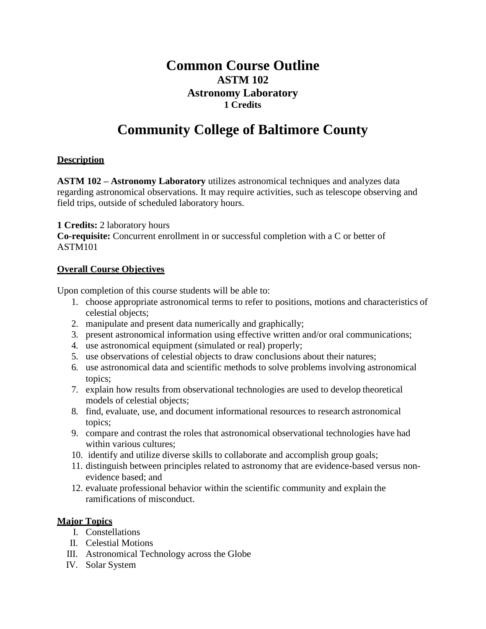# **Common Course Outline ASTM 102 Astronomy Laboratory 1 Credits**

# **Community College of Baltimore County**

## **Description**

**ASTM 102 – Astronomy Laboratory** utilizes astronomical techniques and analyzes data regarding astronomical observations. It may require activities, such as telescope observing and field trips, outside of scheduled laboratory hours.

**1 Credits:** 2 laboratory hours

**Co-requisite:** Concurrent enrollment in or successful completion with a C or better of ASTM101

#### **Overall Course Objectives**

Upon completion of this course students will be able to:

- 1. choose appropriate astronomical terms to refer to positions, motions and characteristics of celestial objects;
- 2. manipulate and present data numerically and graphically;
- 3. present astronomical information using effective written and/or oral communications;
- 4. use astronomical equipment (simulated or real) properly;
- 5. use observations of celestial objects to draw conclusions about their natures;
- 6. use astronomical data and scientific methods to solve problems involving astronomical topics;
- 7. explain how results from observational technologies are used to develop theoretical models of celestial objects;
- 8. find, evaluate, use, and document informational resources to research astronomical topics;
- 9. compare and contrast the roles that astronomical observational technologies have had within various cultures;
- 10. identify and utilize diverse skills to collaborate and accomplish group goals;
- 11. distinguish between principles related to astronomy that are evidence-based versus nonevidence based; and
- 12. evaluate professional behavior within the scientific community and explain the ramifications of misconduct.

### **Major Topics**

- I. Constellations
- II. Celestial Motions
- III. Astronomical Technology across the Globe
- IV. Solar System